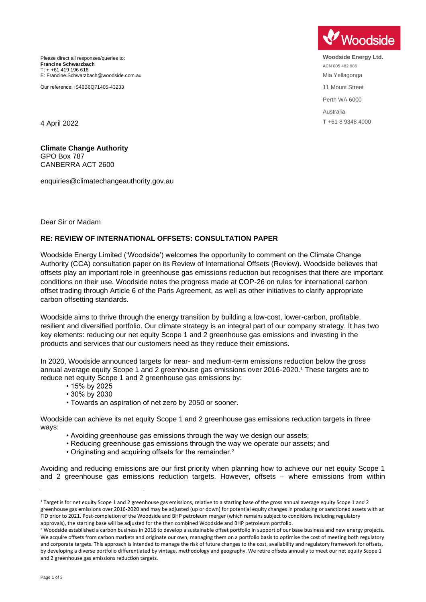Please direct all responses/queries to: **Francine Schwarzbach** T: + +61 419 196 616 E: Francine.Schwarzbach@woodside.com.au

Our reference: IS46B6Q71405-43233

**Woodside** 

**Woodside Energy Ltd.** ACN 005 482 986 Mia Yellagonga 11 Mount Street Perth WA 6000 Australia **T** +61 8 9348 4000

4 April 2022

**Climate Change Authority** GPO Box 787 CANBERRA ACT 2600

enquiries@climatechangeauthority.gov.au

Dear Sir or Madam

## **RE: REVIEW OF INTERNATIONAL OFFSETS: CONSULTATION PAPER**

Woodside Energy Limited ('Woodside') welcomes the opportunity to comment on the Climate Change Authority (CCA) consultation paper on its Review of International Offsets (Review). Woodside believes that offsets play an important role in greenhouse gas emissions reduction but recognises that there are important conditions on their use. Woodside notes the progress made at COP-26 on rules for international carbon offset trading through Article 6 of the Paris Agreement, as well as other initiatives to clarify appropriate carbon offsetting standards.

Woodside aims to thrive through the energy transition by building a low-cost, lower-carbon, profitable, resilient and diversified portfolio. Our climate strategy is an integral part of our company strategy. It has two key elements: reducing our net equity Scope 1 and 2 greenhouse gas emissions and investing in the products and services that our customers need as they reduce their emissions.

In 2020, Woodside announced targets for near- and medium-term emissions reduction below the gross annual average equity Scope 1 and 2 greenhouse gas emissions over 2016-2020.<sup>1</sup> These targets are to reduce net equity Scope 1 and 2 greenhouse gas emissions by:

- 15% by 2025
- 30% by 2030
- Towards an aspiration of net zero by 2050 or sooner.

Woodside can achieve its net equity Scope 1 and 2 greenhouse gas emissions reduction targets in three ways:

- Avoiding greenhouse gas emissions through the way we design our assets:
- Reducing greenhouse gas emissions through the way we operate our assets; and
- Originating and acquiring offsets for the remainder.<sup>2</sup>

Avoiding and reducing emissions are our first priority when planning how to achieve our net equity Scope 1 and 2 greenhouse gas emissions reduction targets. However, offsets – where emissions from within

 $1$  Target is for net equity Scope 1 and 2 greenhouse gas emissions, relative to a starting base of the gross annual average equity Scope 1 and 2 greenhouse gas emissions over 2016-2020 and may be adjusted (up or down) for potential equity changes in producing or sanctioned assets with an FID prior to 2021. Post-completion of the Woodside and BHP petroleum merger (which remains subject to conditions including regulatory approvals), the starting base will be adjusted for the then combined Woodside and BHP petroleum portfolio.

<sup>&</sup>lt;sup>2</sup> Woodside established a carbon business in 2018 to develop a sustainable offset portfolio in support of our base business and new energy projects. We acquire offsets from carbon markets and originate our own, managing them on a portfolio basis to optimise the cost of meeting both regulatory and corporate targets. This approach is intended to manage the risk of future changes to the cost, availability and regulatory framework for offsets, by developing a diverse portfolio differentiated by vintage, methodology and geography. We retire offsets annually to meet our net equity Scope 1 and 2 greenhouse gas emissions reduction targets.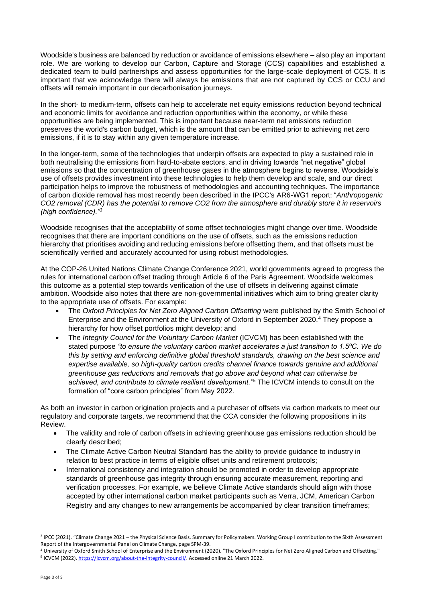Woodside's business are balanced by reduction or avoidance of emissions elsewhere – also play an important role. We are working to develop our Carbon, Capture and Storage (CCS) capabilities and established a dedicated team to build partnerships and assess opportunities for the large-scale deployment of CCS. It is important that we acknowledge there will always be emissions that are not captured by CCS or CCU and offsets will remain important in our decarbonisation journeys.

In the short- to medium-term, offsets can help to accelerate net equity emissions reduction beyond technical and economic limits for avoidance and reduction opportunities within the economy, or while these opportunities are being implemented. This is important because near-term net emissions reduction preserves the world's carbon budget, which is the amount that can be emitted prior to achieving net zero emissions, if it is to stay within any given temperature increase.

In the longer-term, some of the technologies that underpin offsets are expected to play a sustained role in both neutralising the emissions from hard-to-abate sectors, and in driving towards "net negative" global emissions so that the concentration of greenhouse gases in the atmosphere begins to reverse. Woodside's use of offsets provides investment into these technologies to help them develop and scale, and our direct participation helps to improve the robustness of methodologies and accounting techniques. The importance of carbon dioxide removal has most recently been described in the IPCC's AR6-WG1 report: "*Anthropogenic CO2 removal (CDR) has the potential to remove CO2 from the atmosphere and durably store it in reservoirs (high confidence)."<sup>3</sup>*

Woodside recognises that the acceptability of some offset technologies might change over time. Woodside recognises that there are important conditions on the use of offsets, such as the emissions reduction hierarchy that prioritises avoiding and reducing emissions before offsetting them, and that offsets must be scientifically verified and accurately accounted for using robust methodologies.

At the COP-26 United Nations Climate Change Conference 2021, world governments agreed to progress the rules for international carbon offset trading through Article 6 of the Paris Agreement. Woodside welcomes this outcome as a potential step towards verification of the use of offsets in delivering against climate ambition. Woodside also notes that there are non-governmental initiatives which aim to bring greater clarity to the appropriate use of offsets. For example:

- The *Oxford Principles for Net Zero Aligned Carbon Offsetting* were published by the Smith School of Enterprise and the Environment at the University of Oxford in September 2020.<sup>4</sup> They propose a hierarchy for how offset portfolios might develop; and
- The *Integrity Council for the Voluntary Carbon Market* (ICVCM) has been established with the stated purpose *"to ensure the voluntary carbon market accelerates a just transition to 1.5ºC. We do this by setting and enforcing definitive global threshold standards, drawing on the best science and expertise available, so high-quality carbon credits channel finance towards genuine and additional greenhouse gas reductions and removals that go above and beyond what can otherwise be achieved, and contribute to climate resilient development."<sup>5</sup>* The ICVCM intends to consult on the formation of "core carbon principles" from May 2022.

As both an investor in carbon origination projects and a purchaser of offsets via carbon markets to meet our regulatory and corporate targets, we recommend that the CCA consider the following propositions in its Review.

- The validity and role of carbon offsets in achieving greenhouse gas emissions reduction should be clearly described;
- The Climate Active Carbon Neutral Standard has the ability to provide guidance to industry in relation to best practice in terms of eligible offset units and retirement protocols;
- International consistency and integration should be promoted in order to develop appropriate standards of greenhouse gas integrity through ensuring accurate measurement, reporting and verification processes. For example, we believe Climate Active standards should align with those accepted by other international carbon market participants such as Verra, JCM, American Carbon Registry and any changes to new arrangements be accompanied by clear transition timeframes;

<sup>&</sup>lt;sup>3</sup> IPCC (2021). "Climate Change 2021 – the Physical Science Basis. Summary for Policymakers. Working Group I contribution to the Sixth Assessment Report of the Intergovernmental Panel on Climate Change, page SPM-39.

<sup>4</sup> University of Oxford Smith School of Enterprise and the Environment (2020). "The Oxford Principles for Net Zero Aligned Carbon and Offsetting." <sup>5</sup> ICVCM (2022)[. https://icvcm.org/about-the-integrity-council/.](https://icvcm.org/about-the-integrity-council/) Accessed online 21 March 2022.